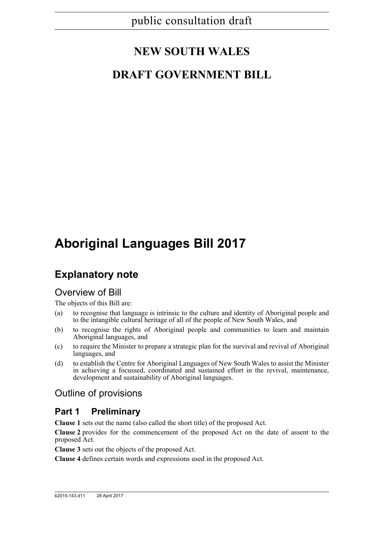# **NEW SOUTH WALES**

## **DRAFT GOVERNMENT BILL**

# **Aboriginal Languages Bill 2017**

## **Explanatory note**

### Overview of Bill

The objects of this Bill are:

- (a) to recognise that language is intrinsic to the culture and identity of Aboriginal people and to the intangible cultural heritage of all of the people of New South Wales, and
- (b) to recognise the rights of Aboriginal people and communities to learn and maintain Aboriginal languages, and
- (c) to require the Minister to prepare a strategic plan for the survival and revival of Aboriginal languages, and
- (d) to establish the Centre for Aboriginal Languages of New South Wales to assist the Minister in achieving a focussed, coordinated and sustained effort in the revival, maintenance, development and sustainability of Aboriginal languages.

### Outline of provisions

### **Part 1 Preliminary**

**Clause 1** sets out the name (also called the short title) of the proposed Act.

**Clause 2** provides for the commencement of the proposed Act on the date of assent to the proposed Act.

**Clause 3** sets out the objects of the proposed Act.

**Clause 4** defines certain words and expressions used in the proposed Act.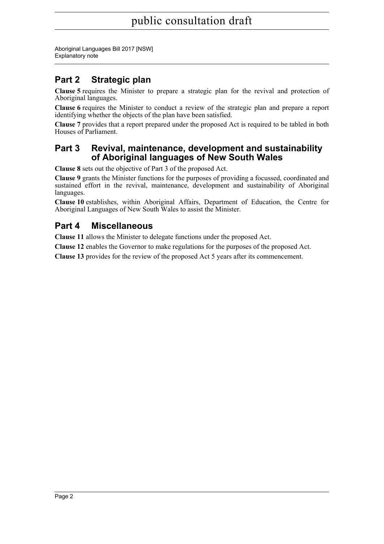Aboriginal Languages Bill 2017 [NSW] Explanatory note

### **Part 2 Strategic plan**

**Clause 5** requires the Minister to prepare a strategic plan for the revival and protection of Aboriginal languages.

**Clause 6** requires the Minister to conduct a review of the strategic plan and prepare a report identifying whether the objects of the plan have been satisfied.

**Clause 7** provides that a report prepared under the proposed Act is required to be tabled in both Houses of Parliament.

### **Part 3 Revival, maintenance, development and sustainability of Aboriginal languages of New South Wales**

**Clause 8** sets out the objective of Part 3 of the proposed Act.

**Clause 9** grants the Minister functions for the purposes of providing a focussed, coordinated and sustained effort in the revival, maintenance, development and sustainability of Aboriginal languages.

**Clause 10** establishes, within Aboriginal Affairs, Department of Education, the Centre for Aboriginal Languages of New South Wales to assist the Minister.

### **Part 4 Miscellaneous**

**Clause 11** allows the Minister to delegate functions under the proposed Act.

**Clause 12** enables the Governor to make regulations for the purposes of the proposed Act.

**Clause 13** provides for the review of the proposed Act 5 years after its commencement.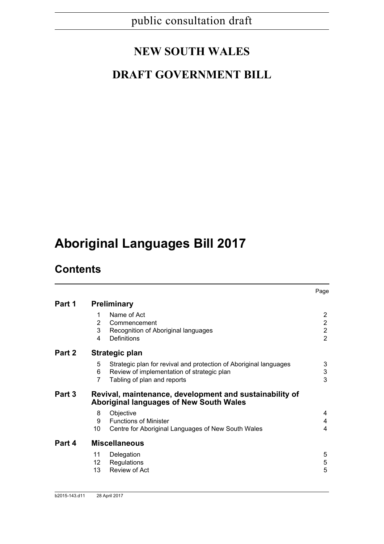# **NEW SOUTH WALES**

## **DRAFT GOVERNMENT BILL**

# **Aboriginal Languages Bill 2017**

## **Contents**

|        |                                                                                                                                                               | Page                                                                 |
|--------|---------------------------------------------------------------------------------------------------------------------------------------------------------------|----------------------------------------------------------------------|
| Part 1 | <b>Preliminary</b>                                                                                                                                            |                                                                      |
|        | Name of Act<br>1<br>2<br>Commencement<br>3<br>Recognition of Aboriginal languages<br>Definitions<br>4                                                         | $\overline{2}$<br>$\overline{2}$<br>$\overline{2}$<br>$\overline{2}$ |
| Part 2 | Strategic plan                                                                                                                                                |                                                                      |
|        | 5<br>Strategic plan for revival and protection of Aboriginal languages<br>6<br>Review of implementation of strategic plan<br>7<br>Tabling of plan and reports | 3<br>3<br>3                                                          |
| Part 3 | Revival, maintenance, development and sustainability of<br><b>Aboriginal languages of New South Wales</b>                                                     |                                                                      |
|        | Objective<br>8<br><b>Functions of Minister</b><br>9<br>10<br>Centre for Aboriginal Languages of New South Wales                                               | 4<br>4<br>4                                                          |
| Part 4 | <b>Miscellaneous</b>                                                                                                                                          |                                                                      |
|        | 11<br>Delegation<br>Regulations<br>12<br>Review of Act<br>13                                                                                                  | 5<br>5<br>5                                                          |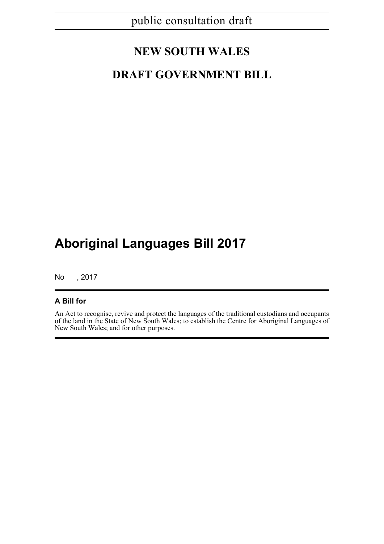## **NEW SOUTH WALES**

## **DRAFT GOVERNMENT BILL**

# **Aboriginal Languages Bill 2017**

No , 2017

#### **A Bill for**

An Act to recognise, revive and protect the languages of the traditional custodians and occupants of the land in the State of New South Wales; to establish the Centre for Aboriginal Languages of New South Wales; and for other purposes.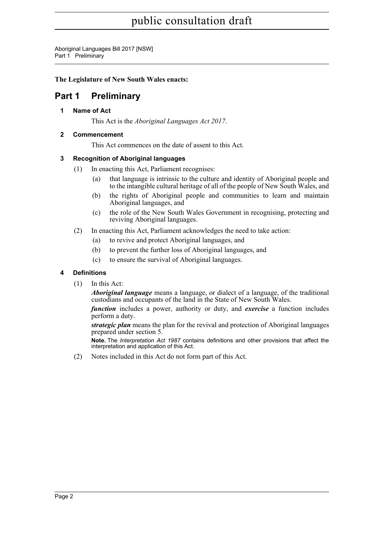Aboriginal Languages Bill 2017 [NSW] Part 1 Preliminary

#### **The Legislature of New South Wales enacts:**

### <span id="page-4-1"></span><span id="page-4-0"></span>**Part 1 Preliminary**

**1 Name of Act**

This Act is the *Aboriginal Languages Act 2017*.

#### <span id="page-4-2"></span>**2 Commencement**

This Act commences on the date of assent to this Act.

#### <span id="page-4-3"></span>**3 Recognition of Aboriginal languages**

- (1) In enacting this Act, Parliament recognises:
	- (a) that language is intrinsic to the culture and identity of Aboriginal people and to the intangible cultural heritage of all of the people of New South Wales, and
	- (b) the rights of Aboriginal people and communities to learn and maintain Aboriginal languages, and
	- (c) the role of the New South Wales Government in recognising, protecting and reviving Aboriginal languages.
- (2) In enacting this Act, Parliament acknowledges the need to take action:
	- (a) to revive and protect Aboriginal languages, and
	- (b) to prevent the further loss of Aboriginal languages, and
	- (c) to ensure the survival of Aboriginal languages.

#### <span id="page-4-4"></span>**4 Definitions**

(1) In this Act:

*Aboriginal language* means a language, or dialect of a language, of the traditional custodians and occupants of the land in the State of New South Wales.

*function* includes a power, authority or duty, and *exercise* a function includes perform a duty.

*strategic plan* means the plan for the revival and protection of Aboriginal languages prepared under section 5.

**Note.** The *Interpretation Act 1987* contains definitions and other provisions that affect the interpretation and application of this Act.

(2) Notes included in this Act do not form part of this Act.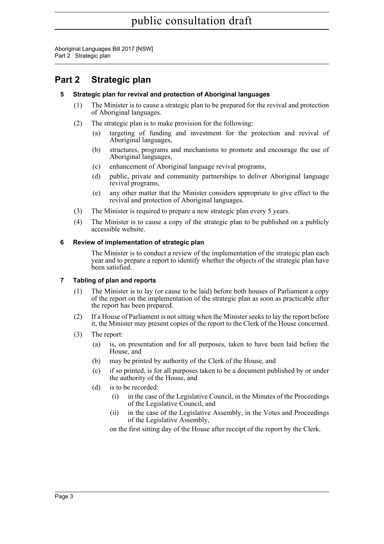Aboriginal Languages Bill 2017 [NSW] Part 2 Strategic plan

### <span id="page-5-1"></span><span id="page-5-0"></span>**Part 2 Strategic plan**

#### **5 Strategic plan for revival and protection of Aboriginal languages**

- (1) The Minister is to cause a strategic plan to be prepared for the revival and protection of Aboriginal languages.
- (2) The strategic plan is to make provision for the following:
	- (a) targeting of funding and investment for the protection and revival of Aboriginal languages,
	- (b) structures, programs and mechanisms to promote and encourage the use of Aboriginal languages,
	- (c) enhancement of Aboriginal language revival programs,
	- (d) public, private and community partnerships to deliver Aboriginal language revival programs,
	- (e) any other matter that the Minister considers appropriate to give effect to the revival and protection of Aboriginal languages.
- (3) The Minister is required to prepare a new strategic plan every 5 years.
- (4) The Minister is to cause a copy of the strategic plan to be published on a publicly accessible website.

#### <span id="page-5-2"></span>**6 Review of implementation of strategic plan**

The Minister is to conduct a review of the implementation of the strategic plan each year and to prepare a report to identify whether the objects of the strategic plan have been satisfied.

#### <span id="page-5-3"></span>**7 Tabling of plan and reports**

- (1) The Minister is to lay (or cause to be laid) before both houses of Parliament a copy of the report on the implementation of the strategic plan as soon as practicable after the report has been prepared.
- (2) If a House of Parliament is not sitting when the Minister seeks to lay the report before it, the Minister may present copies of the report to the Clerk of the House concerned.
- (3) The report:
	- (a) is, on presentation and for all purposes, taken to have been laid before the House, and
	- (b) may be printed by authority of the Clerk of the House, and
	- (c) if so printed, is for all purposes taken to be a document published by or under the authority of the House, and
	- (d) is to be recorded:
		- (i) in the case of the Legislative Council, in the Minutes of the Proceedings of the Legislative Council, and
		- (ii) in the case of the Legislative Assembly, in the Votes and Proceedings of the Legislative Assembly,

on the first sitting day of the House after receipt of the report by the Clerk.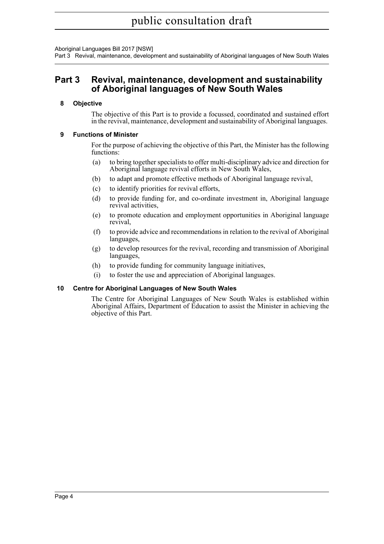Aboriginal Languages Bill 2017 [NSW]

Part 3 Revival, maintenance, development and sustainability of Aboriginal languages of New South Wales

### <span id="page-6-0"></span>**Part 3 Revival, maintenance, development and sustainability of Aboriginal languages of New South Wales**

#### <span id="page-6-1"></span>**8 Objective**

The objective of this Part is to provide a focussed, coordinated and sustained effort in the revival, maintenance, development and sustainability of Aboriginal languages.

#### <span id="page-6-2"></span>**9 Functions of Minister**

For the purpose of achieving the objective of this Part, the Minister has the following functions:

- (a) to bring together specialists to offer multi-disciplinary advice and direction for Aboriginal language revival efforts in New South Wales,
- (b) to adapt and promote effective methods of Aboriginal language revival,
- (c) to identify priorities for revival efforts,
- (d) to provide funding for, and co-ordinate investment in, Aboriginal language revival activities,
- (e) to promote education and employment opportunities in Aboriginal language revival,
- (f) to provide advice and recommendations in relation to the revival of Aboriginal languages,
- (g) to develop resources for the revival, recording and transmission of Aboriginal languages,
- (h) to provide funding for community language initiatives,
- (i) to foster the use and appreciation of Aboriginal languages.

#### <span id="page-6-3"></span>**10 Centre for Aboriginal Languages of New South Wales**

The Centre for Aboriginal Languages of New South Wales is established within Aboriginal Affairs, Department of Education to assist the Minister in achieving the objective of this Part.